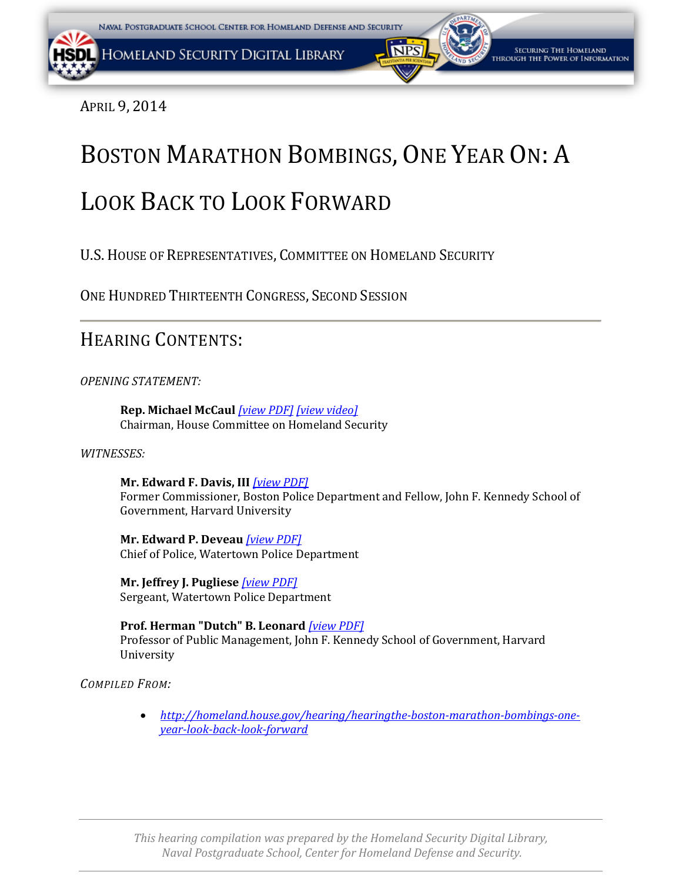<span id="page-0-0"></span>APRIL 9, 2014

## BOSTON MARATHON BOMBINGS, ONE YEAR ON: A

## LOOK BACK TO LOOK FORWARD

U.S.HOUSE OF REPRESENTATIVES, COMMITTEE ON HOMELAND SECURITY

ONE HUNDRED THIRTEENTH CONGRESS, SECOND SESSION

### HEARING CONTENTS:

*OPENING STATEMENT:* 

**Rep. Michael McCaul** *[\[view PDF\]](#page-0-0) [\[view video\]](https://www.youtube.com/watch?v=q_BXGlzO514)* Chairman, House Committee on Homeland Security

#### *WITNESSES:*

**Mr. Edward F. Davis, III** *[\[](#page-0-0)[view PDF\]](#page-4-0)* Former Commissioner, Boston Police Department and Fellow, John F. Kennedy School of Government, Harvard University

**Mr. Edward P. Deveau** *[\[view PDF\]](#page-0-0)* Chief of Police, Watertown Police Department

**Mr. Jeffrey J. Pugliese** *[\[view PDF\]](#page-11-0)* Sergeant, Watertown Police Department

**Prof. Herman "Dutch" B. Leonard** *[\[view PDF\]](#page-0-0)* Professor of Public Management, John F. Kennedy School of Government, Harvard University

*COMPILED FROM:*

• *http://homeland.house.gov/hearing/hearingthe-boston-marathon-bombings-oneyear-look-back-look-forward*

*This hearing compilation was prepared by the Homeland Security Digital Library, Naval Postgraduate School, Center for Homeland Defense and Security.*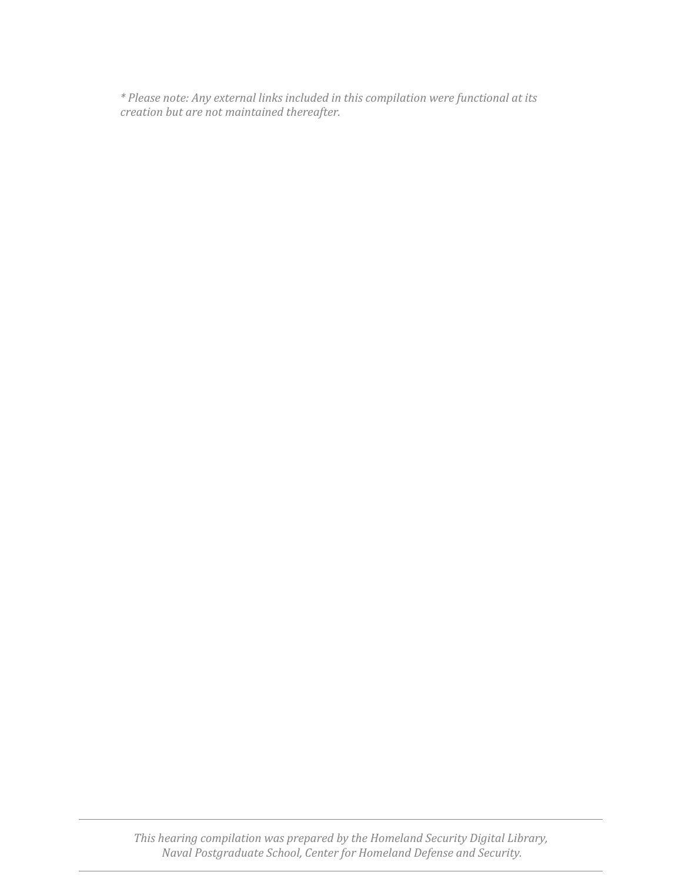*\* Please note: Any external links included in this compilation were functional at its creation but are not maintained thereafter.*

*This hearing compilation was prepared by the Homeland Security Digital Library, Naval Postgraduate School, Center for Homeland Defense and Security.*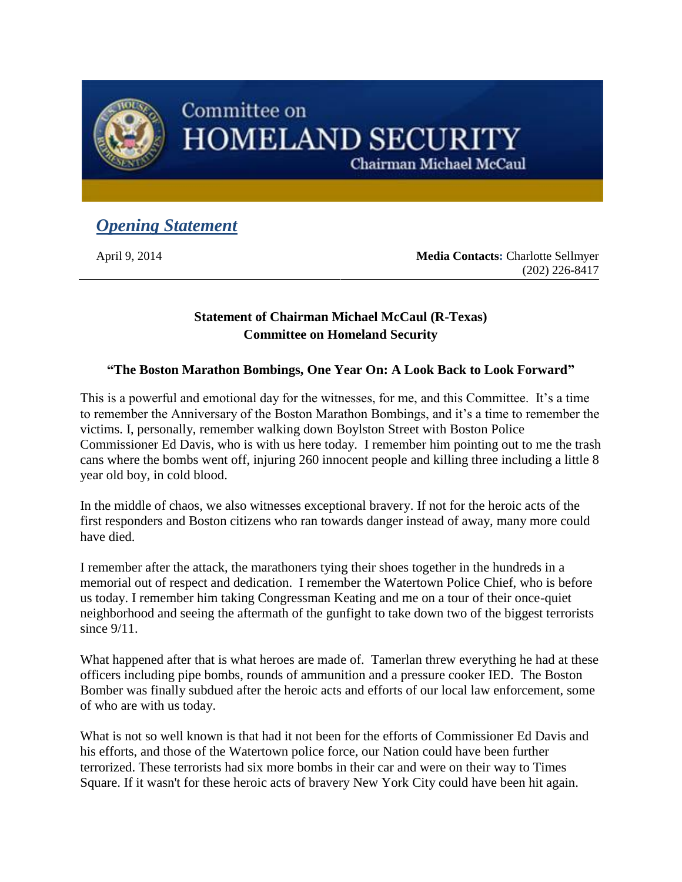<span id="page-2-0"></span>

## Committee on **HOMELAND SECURITY**

Chairman Michael McCaul

### *Opening Statement*

April 9, 2014 **Media Contacts:** Charlotte Sellmyer (202) 226-8417

### **Statement of Chairman Michael McCaul (R-Texas) Committee on Homeland Security**

### **"The Boston Marathon Bombings, One Year On: A Look Back to Look Forward"**

This is a powerful and emotional day for the witnesses, for me, and this Committee. It's a time to remember the Anniversary of the Boston Marathon Bombings, and it's a time to remember the victims. I, personally, remember walking down Boylston Street with Boston Police Commissioner Ed Davis, who is with us here today. I remember him pointing out to me the trash cans where the bombs went off, injuring 260 innocent people and killing three including a little 8 year old boy, in cold blood.

In the middle of chaos, we also witnesses exceptional bravery. If not for the heroic acts of the first responders and Boston citizens who ran towards danger instead of away, many more could have died.

I remember after the attack, the marathoners tying their shoes together in the hundreds in a memorial out of respect and dedication. I remember the Watertown Police Chief, who is before us today. I remember him taking Congressman Keating and me on a tour of their once-quiet neighborhood and seeing the aftermath of the gunfight to take down two of the biggest terrorists since  $9/11$ .

What happened after that is what heroes are made of. Tamerlan threw everything he had at these officers including pipe bombs, rounds of ammunition and a pressure cooker IED. The Boston Bomber was finally subdued after the heroic acts and efforts of our local law enforcement, some of who are with us today.

What is not so well known is that had it not been for the efforts of Commissioner Ed Davis and his efforts, and those of the Watertown police force, our Nation could have been further terrorized. These terrorists had six more bombs in their car and were on their way to Times Square. If it wasn't for these heroic acts of bravery New York City could have been hit again.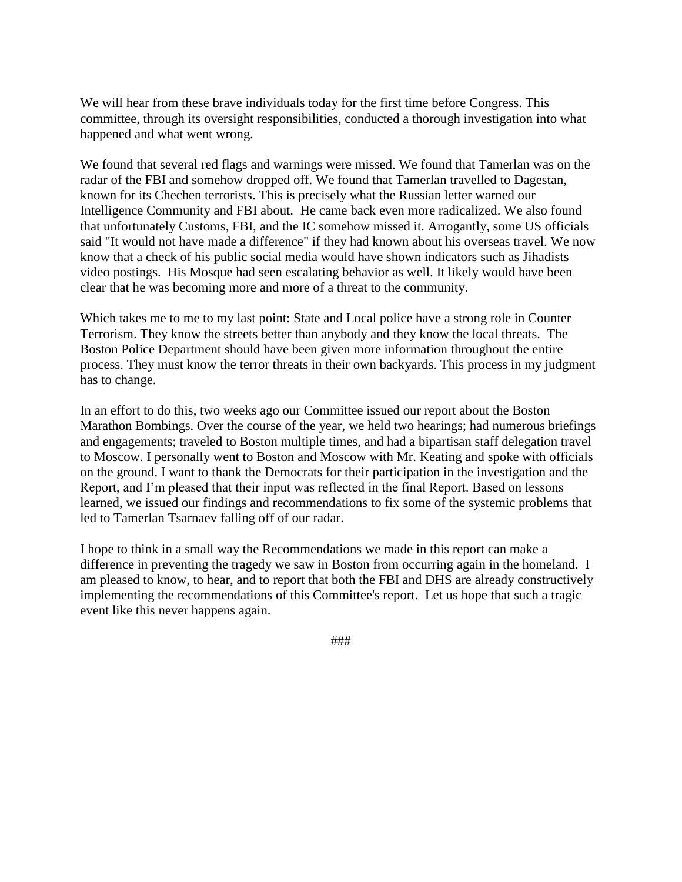We will hear from these brave individuals today for the first time before Congress. This committee, through its oversight responsibilities, conducted a thorough investigation into what happened and what went wrong.

We found that several red flags and warnings were missed. We found that Tamerlan was on the radar of the FBI and somehow dropped off. We found that Tamerlan travelled to Dagestan, known for its Chechen terrorists. This is precisely what the Russian letter warned our Intelligence Community and FBI about. He came back even more radicalized. We also found that unfortunately Customs, FBI, and the IC somehow missed it. Arrogantly, some US officials said "It would not have made a difference" if they had known about his overseas travel. We now know that a check of his public social media would have shown indicators such as Jihadists video postings. His Mosque had seen escalating behavior as well. It likely would have been clear that he was becoming more and more of a threat to the community.

Which takes me to me to my last point: State and Local police have a strong role in Counter Terrorism. They know the streets better than anybody and they know the local threats. The Boston Police Department should have been given more information throughout the entire process. They must know the terror threats in their own backyards. This process in my judgment has to change.

In an effort to do this, two weeks ago our Committee issued our report about the Boston Marathon Bombings. Over the course of the year, we held two hearings; had numerous briefings and engagements; traveled to Boston multiple times, and had a bipartisan staff delegation travel to Moscow. I personally went to Boston and Moscow with Mr. Keating and spoke with officials on the ground. I want to thank the Democrats for their participation in the investigation and the Report, and I'm pleased that their input was reflected in the final Report. Based on lessons learned, we issued our findings and recommendations to fix some of the systemic problems that led to Tamerlan Tsarnaev falling off of our radar.

I hope to think in a small way the Recommendations we made in this report can make a difference in preventing the tragedy we saw in Boston from occurring again in the homeland. I am pleased to know, to hear, and to report that both the FBI and DHS are already constructively implementing the recommendations of this Committee's report. Let us hope that such a tragic event like this never happens again.

###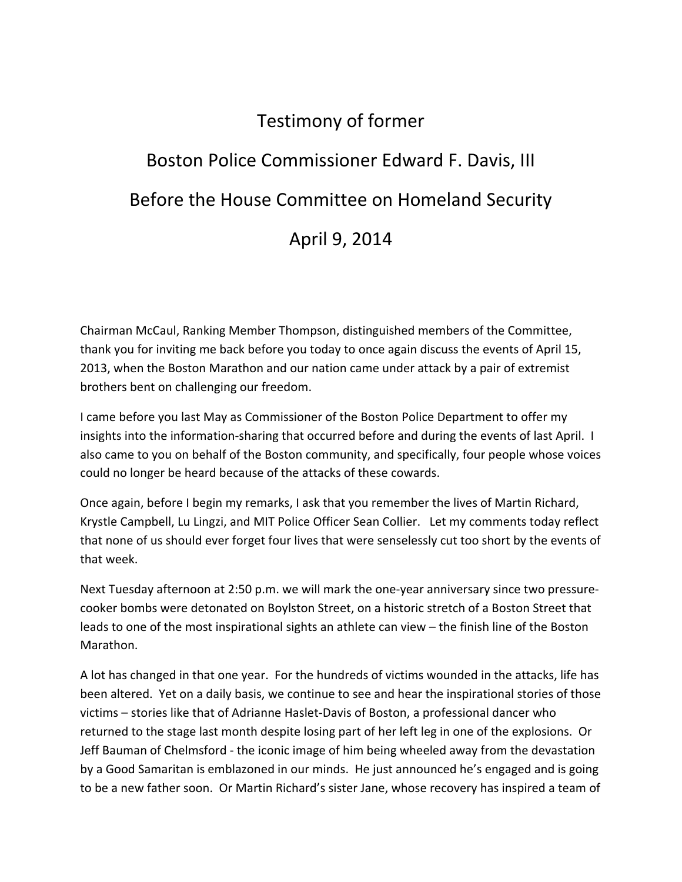## Testimony of former

# <span id="page-4-0"></span>Boston Police Commissioner Edward F. Davis, III Before the House Committee on Homeland Security April 9, 2014

Chairman McCaul, Ranking Member Thompson, distinguished members of the Committee, thank you for inviting me back before you today to once again discuss the events of April 15, 2013, when the Boston Marathon and our nation came under attack by a pair of extremist brothers bent on challenging our freedom.

I came before you last May as Commissioner of the Boston Police Department to offer my insights into the information‐sharing that occurred before and during the events of last April. I also came to you on behalf of the Boston community, and specifically, four people whose voices could no longer be heard because of the attacks of these cowards.

Once again, before I begin my remarks, I ask that you remember the lives of Martin Richard, Krystle Campbell, Lu Lingzi, and MIT Police Officer Sean Collier. Let my comments today reflect that none of us should ever forget four lives that were senselessly cut too short by the events of that week.

Next Tuesday afternoon at 2:50 p.m. we will mark the one‐year anniversary since two pressure‐ cooker bombs were detonated on Boylston Street, on a historic stretch of a Boston Street that leads to one of the most inspirational sights an athlete can view – the finish line of the Boston Marathon.

A lot has changed in that one year. For the hundreds of victims wounded in the attacks, life has been altered. Yet on a daily basis, we continue to see and hear the inspirational stories of those victims – stories like that of Adrianne Haslet‐Davis of Boston, a professional dancer who returned to the stage last month despite losing part of her left leg in one of the explosions. Or Jeff Bauman of Chelmsford ‐ the iconic image of him being wheeled away from the devastation by a Good Samaritan is emblazoned in our minds. He just announced he's engaged and is going to be a new father soon. Or Martin Richard's sister Jane, whose recovery has inspired a team of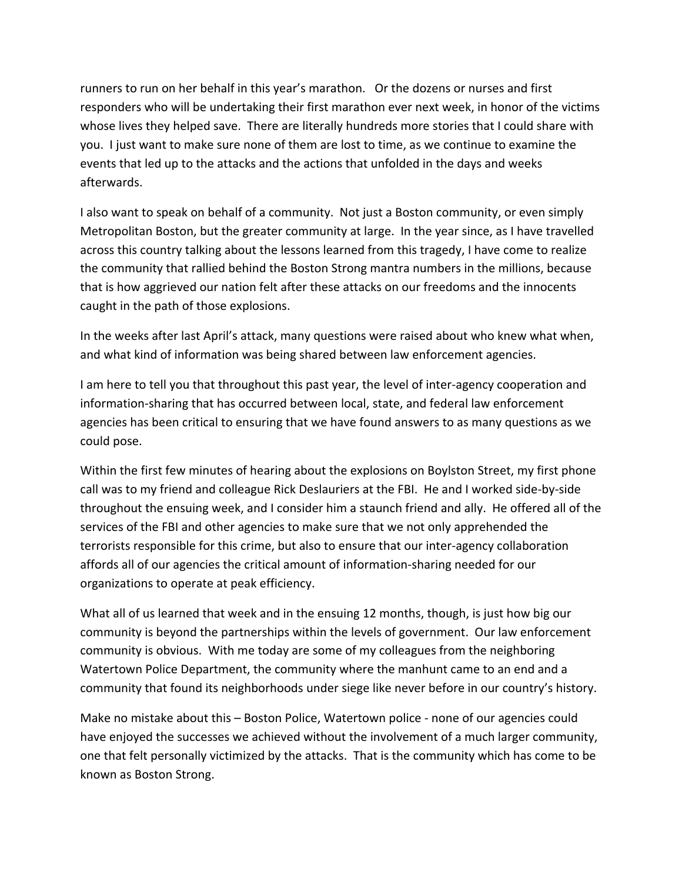runners to run on her behalf in this year's marathon. Or the dozens or nurses and first responders who will be undertaking their first marathon ever next week, in honor of the victims whose lives they helped save. There are literally hundreds more stories that I could share with you. I just want to make sure none of them are lost to time, as we continue to examine the events that led up to the attacks and the actions that unfolded in the days and weeks afterwards.

I also want to speak on behalf of a community. Not just a Boston community, or even simply Metropolitan Boston, but the greater community at large. In the year since, as I have travelled across this country talking about the lessons learned from this tragedy, I have come to realize the community that rallied behind the Boston Strong mantra numbers in the millions, because that is how aggrieved our nation felt after these attacks on our freedoms and the innocents caught in the path of those explosions.

In the weeks after last April's attack, many questions were raised about who knew what when, and what kind of information was being shared between law enforcement agencies.

I am here to tell you that throughout this past year, the level of inter-agency cooperation and information‐sharing that has occurred between local, state, and federal law enforcement agencies has been critical to ensuring that we have found answers to as many questions as we could pose.

Within the first few minutes of hearing about the explosions on Boylston Street, my first phone call was to my friend and colleague Rick Deslauriers at the FBI. He and I worked side‐by‐side throughout the ensuing week, and I consider him a staunch friend and ally. He offered all of the services of the FBI and other agencies to make sure that we not only apprehended the terrorists responsible for this crime, but also to ensure that our inter‐agency collaboration affords all of our agencies the critical amount of information‐sharing needed for our organizations to operate at peak efficiency.

What all of us learned that week and in the ensuing 12 months, though, is just how big our community is beyond the partnerships within the levels of government. Our law enforcement community is obvious. With me today are some of my colleagues from the neighboring Watertown Police Department, the community where the manhunt came to an end and a community that found its neighborhoods under siege like never before in our country's history.

Make no mistake about this – Boston Police, Watertown police ‐ none of our agencies could have enjoyed the successes we achieved without the involvement of a much larger community, one that felt personally victimized by the attacks. That is the community which has come to be known as Boston Strong.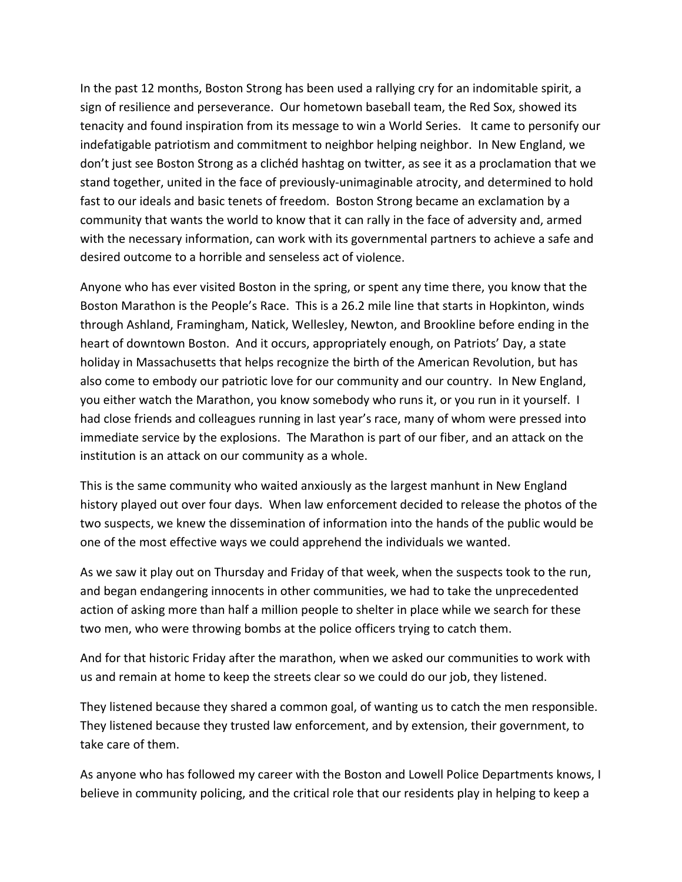In the past 12 months, Boston Strong has been used a rallying cry for an indomitable spirit, a sign of resilience and perseverance. Our hometown baseball team, the Red Sox, showed its tenacity and found inspiration from its message to win a World Series. It came to personify our indefatigable patriotism and commitment to neighbor helping neighbor. In New England, we don't just see Boston Strong as a clichéd hashtag on twitter, as see it as a proclamation that we stand together, united in the face of previously‐unimaginable atrocity, and determined to hold fast to our ideals and basic tenets of freedom. Boston Strong became an exclamation by a community that wants the world to know that it can rally in the face of adversity and, armed with the necessary information, can work with its governmental partners to achieve a safe and desired outcome to a horrible and senseless act of violence.

Anyone who has ever visited Boston in the spring, or spent any time there, you know that the Boston Marathon is the People's Race. This is a 26.2 mile line that starts in Hopkinton, winds through Ashland, Framingham, Natick, Wellesley, Newton, and Brookline before ending in the heart of downtown Boston. And it occurs, appropriately enough, on Patriots' Day, a state holiday in Massachusetts that helps recognize the birth of the American Revolution, but has also come to embody our patriotic love for our community and our country. In New England, you either watch the Marathon, you know somebody who runs it, or you run in it yourself. I had close friends and colleagues running in last year's race, many of whom were pressed into immediate service by the explosions. The Marathon is part of our fiber, and an attack on the institution is an attack on our community as a whole.

This is the same community who waited anxiously as the largest manhunt in New England history played out over four days. When law enforcement decided to release the photos of the two suspects, we knew the dissemination of information into the hands of the public would be one of the most effective ways we could apprehend the individuals we wanted.

As we saw it play out on Thursday and Friday of that week, when the suspects took to the run, and began endangering innocents in other communities, we had to take the unprecedented action of asking more than half a million people to shelter in place while we search for these two men, who were throwing bombs at the police officers trying to catch them.

And for that historic Friday after the marathon, when we asked our communities to work with us and remain at home to keep the streets clear so we could do our job, they listened.

They listened because they shared a common goal, of wanting us to catch the men responsible. They listened because they trusted law enforcement, and by extension, their government, to take care of them.

As anyone who has followed my career with the Boston and Lowell Police Departments knows, I believe in community policing, and the critical role that our residents play in helping to keep a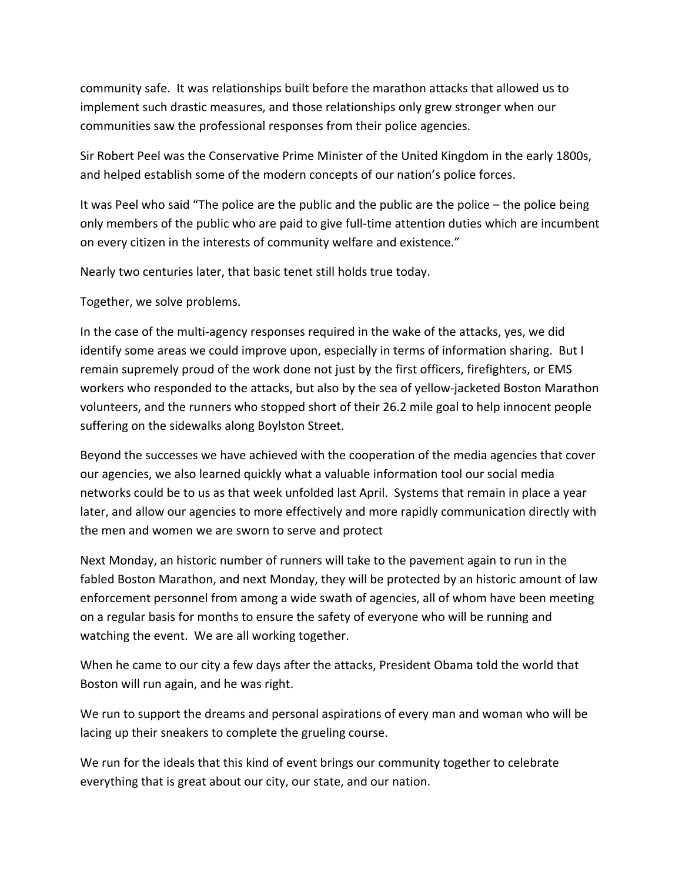community safe. It was relationships built before the marathon attacks that allowed us to implement such drastic measures, and those relationships only grew stronger when our communities saw the professional responses from their police agencies.

Sir Robert Peel was the Conservative Prime Minister of the United Kingdom in the early 1800s, and helped establish some of the modern concepts of our nation's police forces.

It was Peel who said "The police are the public and the public are the police – the police being only members of the public who are paid to give full‐time attention duties which are incumbent on every citizen in the interests of community welfare and existence."

Nearly two centuries later, that basic tenet still holds true today.

Together, we solve problems.

In the case of the multi-agency responses required in the wake of the attacks, yes, we did identify some areas we could improve upon, especially in terms of information sharing. But I remain supremely proud of the work done not just by the first officers, firefighters, or EMS workers who responded to the attacks, but also by the sea of yellow‐jacketed Boston Marathon volunteers, and the runners who stopped short of their 26.2 mile goal to help innocent people suffering on the sidewalks along Boylston Street.

Beyond the successes we have achieved with the cooperation of the media agencies that cover our agencies, we also learned quickly what a valuable information tool our social media networks could be to us as that week unfolded last April. Systems that remain in place a year later, and allow our agencies to more effectively and more rapidly communication directly with the men and women we are sworn to serve and protect

Next Monday, an historic number of runners will take to the pavement again to run in the fabled Boston Marathon, and next Monday, they will be protected by an historic amount of law enforcement personnel from among a wide swath of agencies, all of whom have been meeting on a regular basis for months to ensure the safety of everyone who will be running and watching the event. We are all working together.

When he came to our city a few days after the attacks, President Obama told the world that Boston will run again, and he was right.

We run to support the dreams and personal aspirations of every man and woman who will be lacing up their sneakers to complete the grueling course.

We run for the ideals that this kind of event brings our community together to celebrate everything that is great about our city, our state, and our nation.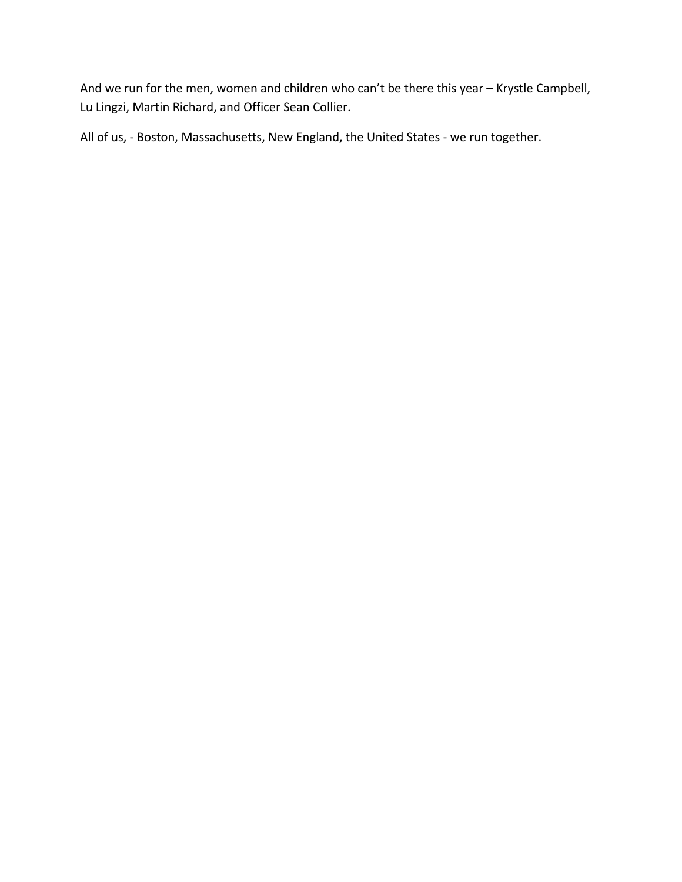And we run for the men, women and children who can't be there this year – Krystle Campbell, Lu Lingzi, Martin Richard, and Officer Sean Collier.

All of us, - Boston, Massachusetts, New England, the United States - we run together.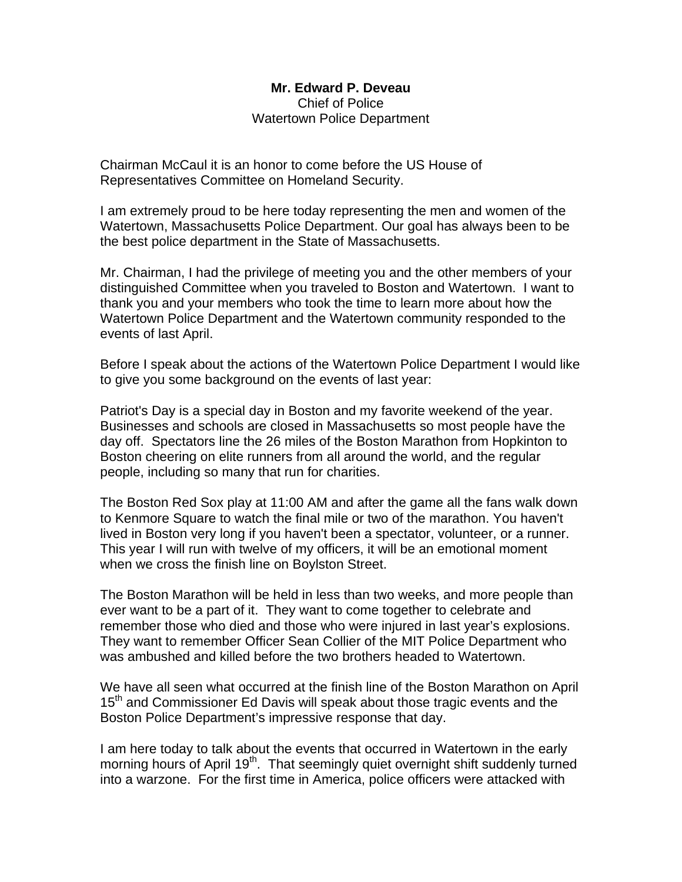#### **Mr. Edward P. Deveau**  Chief of Police Watertown Police Department

<span id="page-9-0"></span>Chairman McCaul it is an honor to come before the US House of Representatives Committee on Homeland Security.

I am extremely proud to be here today representing the men and women of the Watertown, Massachusetts Police Department. Our goal has always been to be the best police department in the State of Massachusetts.

Mr. Chairman, I had the privilege of meeting you and the other members of your distinguished Committee when you traveled to Boston and Watertown. I want to thank you and your members who took the time to learn more about how the Watertown Police Department and the Watertown community responded to the events of last April.

Before I speak about the actions of the Watertown Police Department I would like to give you some background on the events of last year:

Patriot's Day is a special day in Boston and my favorite weekend of the year. Businesses and schools are closed in Massachusetts so most people have the day off. Spectators line the 26 miles of the Boston Marathon from Hopkinton to Boston cheering on elite runners from all around the world, and the regular people, including so many that run for charities.

The Boston Red Sox play at 11:00 AM and after the game all the fans walk down to Kenmore Square to watch the final mile or two of the marathon. You haven't lived in Boston very long if you haven't been a spectator, volunteer, or a runner. This year I will run with twelve of my officers, it will be an emotional moment when we cross the finish line on Boylston Street.

The Boston Marathon will be held in less than two weeks, and more people than ever want to be a part of it. They want to come together to celebrate and remember those who died and those who were injured in last year's explosions. They want to remember Officer Sean Collier of the MIT Police Department who was ambushed and killed before the two brothers headed to Watertown.

We have all seen what occurred at the finish line of the Boston Marathon on April 15<sup>th</sup> and Commissioner Ed Davis will speak about those tragic events and the Boston Police Department's impressive response that day.

I am here today to talk about the events that occurred in Watertown in the early morning hours of April 19<sup>th</sup>. That seemingly quiet overnight shift suddenly turned into a warzone. For the first time in America, police officers were attacked with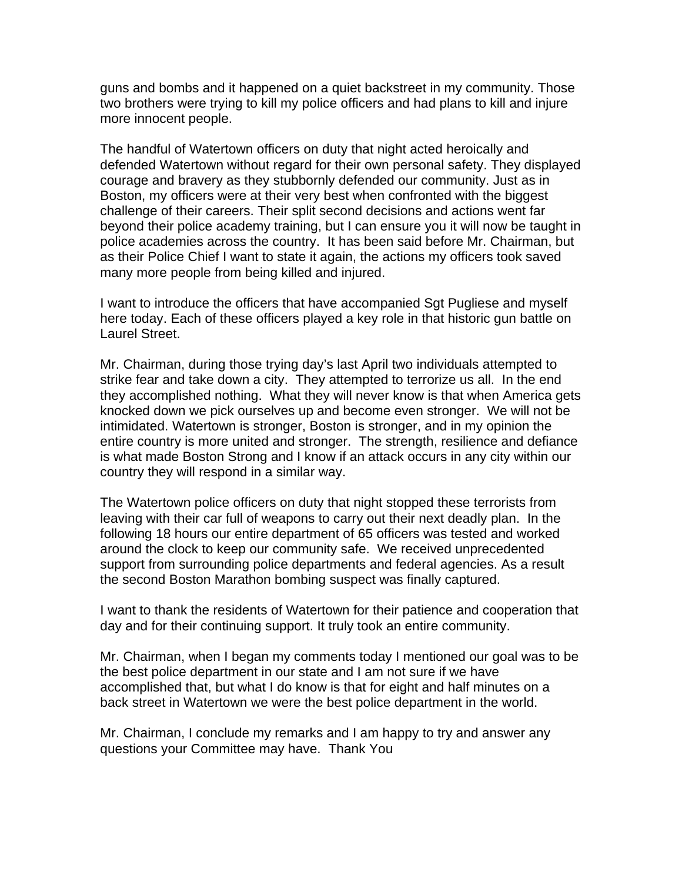guns and bombs and it happened on a quiet backstreet in my community. Those two brothers were trying to kill my police officers and had plans to kill and injure more innocent people.

The handful of Watertown officers on duty that night acted heroically and defended Watertown without regard for their own personal safety. They displayed courage and bravery as they stubbornly defended our community. Just as in Boston, my officers were at their very best when confronted with the biggest challenge of their careers. Their split second decisions and actions went far beyond their police academy training, but I can ensure you it will now be taught in police academies across the country. It has been said before Mr. Chairman, but as their Police Chief I want to state it again, the actions my officers took saved many more people from being killed and injured.

I want to introduce the officers that have accompanied Sgt Pugliese and myself here today. Each of these officers played a key role in that historic gun battle on Laurel Street.

Mr. Chairman, during those trying day's last April two individuals attempted to strike fear and take down a city. They attempted to terrorize us all. In the end they accomplished nothing. What they will never know is that when America gets knocked down we pick ourselves up and become even stronger. We will not be intimidated. Watertown is stronger, Boston is stronger, and in my opinion the entire country is more united and stronger. The strength, resilience and defiance is what made Boston Strong and I know if an attack occurs in any city within our country they will respond in a similar way.

The Watertown police officers on duty that night stopped these terrorists from leaving with their car full of weapons to carry out their next deadly plan. In the following 18 hours our entire department of 65 officers was tested and worked around the clock to keep our community safe. We received unprecedented support from surrounding police departments and federal agencies. As a result the second Boston Marathon bombing suspect was finally captured.

I want to thank the residents of Watertown for their patience and cooperation that day and for their continuing support. It truly took an entire community.

Mr. Chairman, when I began my comments today I mentioned our goal was to be the best police department in our state and I am not sure if we have accomplished that, but what I do know is that for eight and half minutes on a back street in Watertown we were the best police department in the world.

Mr. Chairman, I conclude my remarks and I am happy to try and answer any questions your Committee may have. Thank You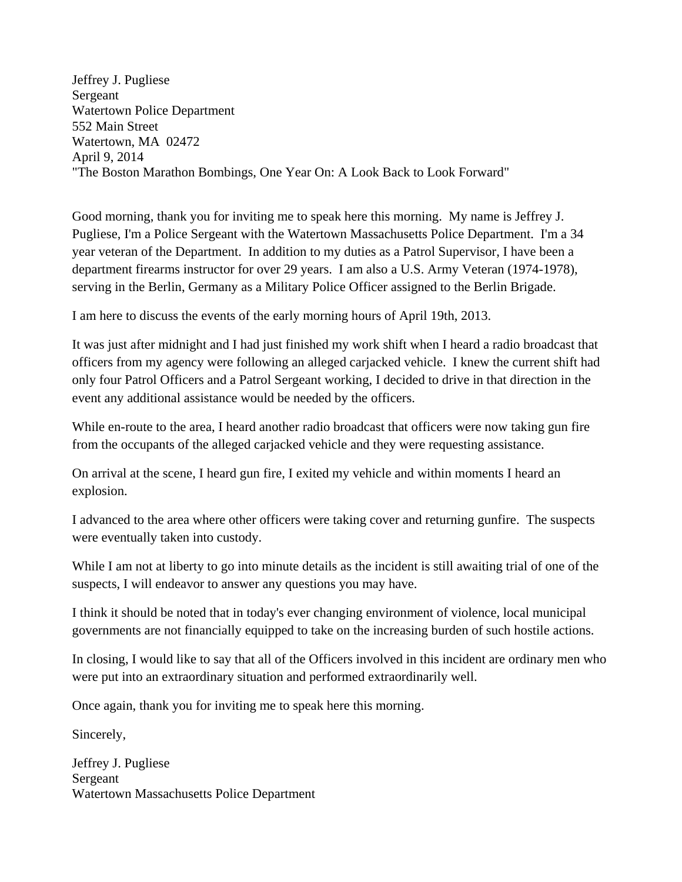<span id="page-11-0"></span>Jeffrey J. Pugliese Sergeant Watertown Police Department 552 Main Street Watertown, MA 02472 April 9, 2014 "The Boston Marathon Bombings, One Year On: A Look Back to Look Forward"

Good morning, thank you for inviting me to speak here this morning. My name is Jeffrey J. Pugliese, I'm a Police Sergeant with the Watertown Massachusetts Police Department. I'm a 34 year veteran of the Department. In addition to my duties as a Patrol Supervisor, I have been a department firearms instructor for over 29 years. I am also a U.S. Army Veteran (1974-1978), serving in the Berlin, Germany as a Military Police Officer assigned to the Berlin Brigade.

I am here to discuss the events of the early morning hours of April 19th, 2013.

It was just after midnight and I had just finished my work shift when I heard a radio broadcast that officers from my agency were following an alleged carjacked vehicle. I knew the current shift had only four Patrol Officers and a Patrol Sergeant working, I decided to drive in that direction in the event any additional assistance would be needed by the officers.

While en-route to the area, I heard another radio broadcast that officers were now taking gun fire from the occupants of the alleged carjacked vehicle and they were requesting assistance.

On arrival at the scene, I heard gun fire, I exited my vehicle and within moments I heard an explosion.

I advanced to the area where other officers were taking cover and returning gunfire. The suspects were eventually taken into custody.

While I am not at liberty to go into minute details as the incident is still awaiting trial of one of the suspects, I will endeavor to answer any questions you may have.

I think it should be noted that in today's ever changing environment of violence, local municipal governments are not financially equipped to take on the increasing burden of such hostile actions.

In closing, I would like to say that all of the Officers involved in this incident are ordinary men who were put into an extraordinary situation and performed extraordinarily well.

Once again, thank you for inviting me to speak here this morning.

Sincerely,

Jeffrey J. Pugliese Sergeant Watertown Massachusetts Police Department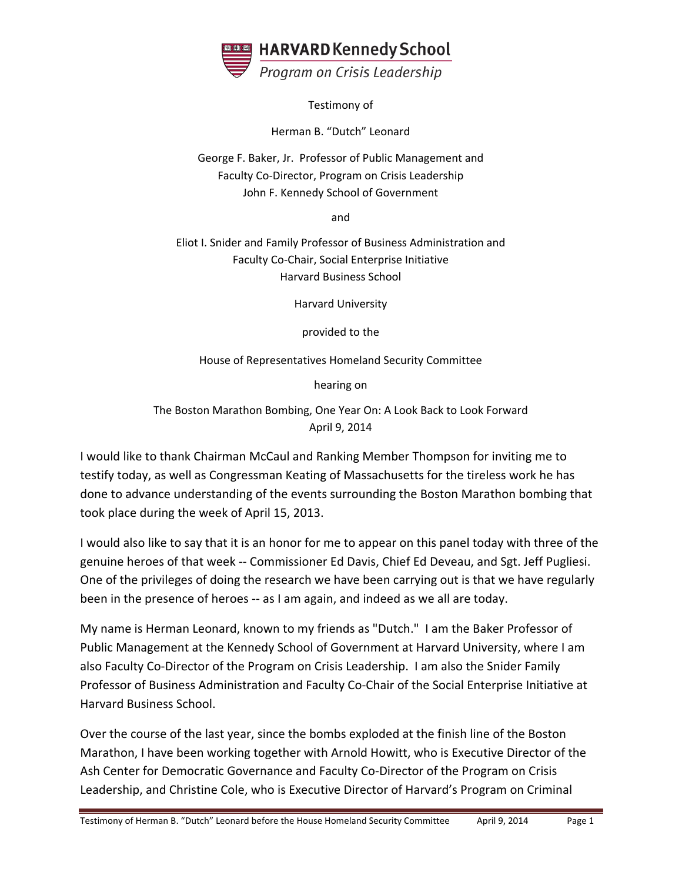<span id="page-12-0"></span>

Testimony of

Herman B. "Dutch" Leonard

George F. Baker, Jr. Professor of Public Management and Faculty Co‐Director, Program on Crisis Leadership John F. Kennedy School of Government

and

Eliot I. Snider and Family Professor of Business Administration and Faculty Co‐Chair, Social Enterprise Initiative Harvard Business School

Harvard University

provided to the

House of Representatives Homeland Security Committee

hearing on

The Boston Marathon Bombing, One Year On: A Look Back to Look Forward April 9, 2014

I would like to thank Chairman McCaul and Ranking Member Thompson for inviting me to testify today, as well as Congressman Keating of Massachusetts for the tireless work he has done to advance understanding of the events surrounding the Boston Marathon bombing that took place during the week of April 15, 2013.

I would also like to say that it is an honor for me to appear on this panel today with three of the genuine heroes of that week ‐‐ Commissioner Ed Davis, Chief Ed Deveau, and Sgt. Jeff Pugliesi. One of the privileges of doing the research we have been carrying out is that we have regularly been in the presence of heroes ‐‐ as I am again, and indeed as we all are today.

My name is Herman Leonard, known to my friends as "Dutch." I am the Baker Professor of Public Management at the Kennedy School of Government at Harvard University, where I am also Faculty Co‐Director of the Program on Crisis Leadership. I am also the Snider Family Professor of Business Administration and Faculty Co‐Chair of the Social Enterprise Initiative at Harvard Business School.

Over the course of the last year, since the bombs exploded at the finish line of the Boston Marathon, I have been working together with Arnold Howitt, who is Executive Director of the Ash Center for Democratic Governance and Faculty Co-Director of the Program on Crisis Leadership, and Christine Cole, who is Executive Director of Harvard's Program on Criminal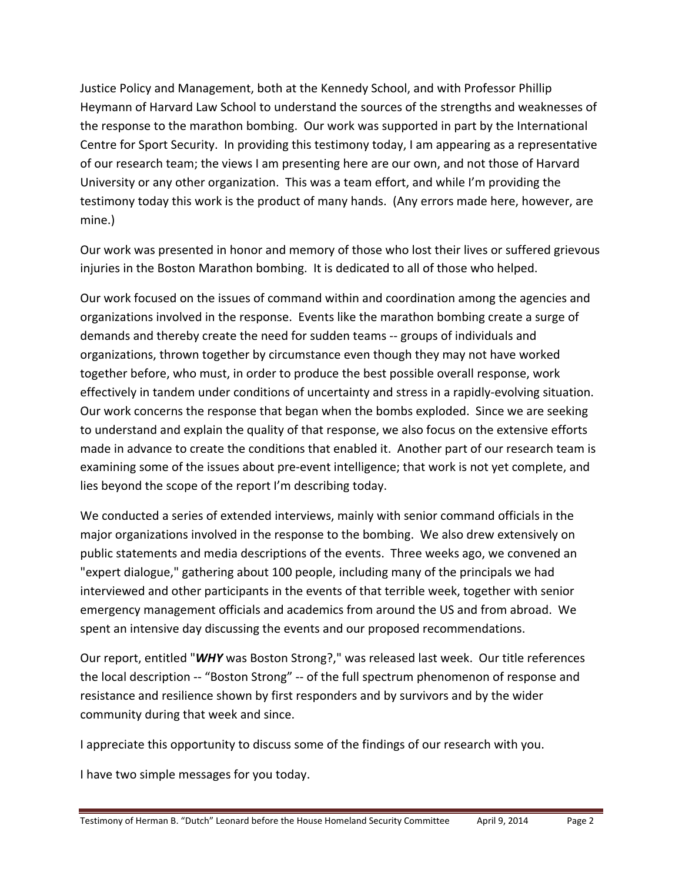Justice Policy and Management, both at the Kennedy School, and with Professor Phillip Heymann of Harvard Law School to understand the sources of the strengths and weaknesses of the response to the marathon bombing. Our work was supported in part by the International Centre for Sport Security. In providing this testimony today, I am appearing as a representative of our research team; the views I am presenting here are our own, and not those of Harvard University or any other organization. This was a team effort, and while I'm providing the testimony today this work is the product of many hands. (Any errors made here, however, are mine.)

Our work was presented in honor and memory of those who lost their lives or suffered grievous injuries in the Boston Marathon bombing. It is dedicated to all of those who helped.

Our work focused on the issues of command within and coordination among the agencies and organizations involved in the response. Events like the marathon bombing create a surge of demands and thereby create the need for sudden teams ‐‐ groups of individuals and organizations, thrown together by circumstance even though they may not have worked together before, who must, in order to produce the best possible overall response, work effectively in tandem under conditions of uncertainty and stress in a rapidly‐evolving situation. Our work concerns the response that began when the bombs exploded. Since we are seeking to understand and explain the quality of that response, we also focus on the extensive efforts made in advance to create the conditions that enabled it. Another part of our research team is examining some of the issues about pre‐event intelligence; that work is not yet complete, and lies beyond the scope of the report I'm describing today.

We conducted a series of extended interviews, mainly with senior command officials in the major organizations involved in the response to the bombing. We also drew extensively on public statements and media descriptions of the events. Three weeks ago, we convened an "expert dialogue," gathering about 100 people, including many of the principals we had interviewed and other participants in the events of that terrible week, together with senior emergency management officials and academics from around the US and from abroad. We spent an intensive day discussing the events and our proposed recommendations.

Our report, entitled "*WHY* was Boston Strong?," was released last week. Our title references the local description ‐‐ "Boston Strong" ‐‐ of the full spectrum phenomenon of response and resistance and resilience shown by first responders and by survivors and by the wider community during that week and since.

I appreciate this opportunity to discuss some of the findings of our research with you.

I have two simple messages for you today.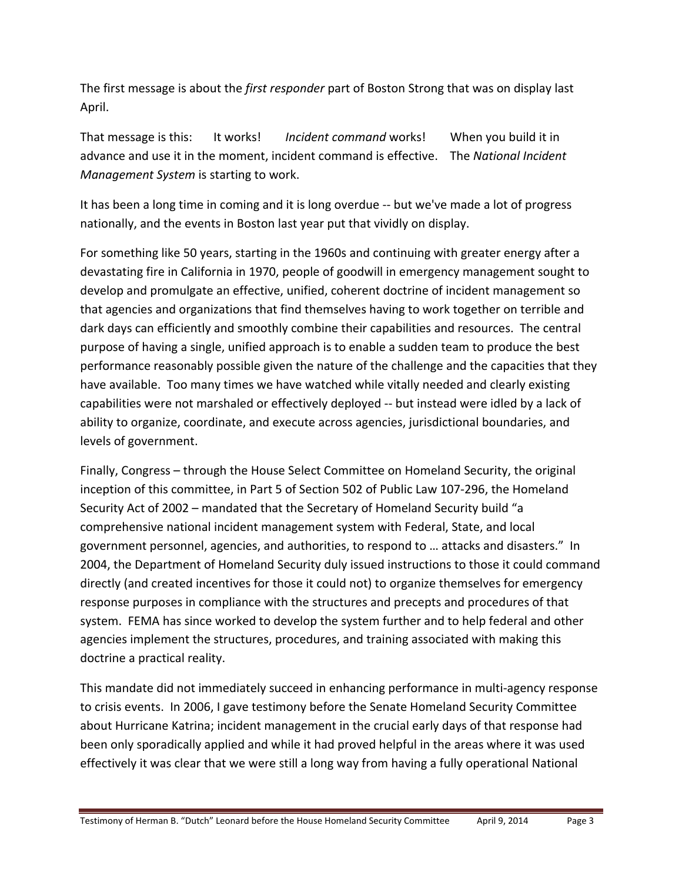The first message is about the *first responder* part of Boston Strong that was on display last April.

That message is this: It works! *Incident command* works! When you build it in advance and use it in the moment, incident command is effective. The *National Incident Management System* is starting to work.

It has been a long time in coming and it is long overdue -- but we've made a lot of progress nationally, and the events in Boston last year put that vividly on display.

For something like 50 years, starting in the 1960s and continuing with greater energy after a devastating fire in California in 1970, people of goodwill in emergency management sought to develop and promulgate an effective, unified, coherent doctrine of incident management so that agencies and organizations that find themselves having to work together on terrible and dark days can efficiently and smoothly combine their capabilities and resources. The central purpose of having a single, unified approach is to enable a sudden team to produce the best performance reasonably possible given the nature of the challenge and the capacities that they have available. Too many times we have watched while vitally needed and clearly existing capabilities were not marshaled or effectively deployed ‐‐ but instead were idled by a lack of ability to organize, coordinate, and execute across agencies, jurisdictional boundaries, and levels of government.

Finally, Congress – through the House Select Committee on Homeland Security, the original inception of this committee, in Part 5 of Section 502 of Public Law 107‐296, the Homeland Security Act of 2002 – mandated that the Secretary of Homeland Security build "a comprehensive national incident management system with Federal, State, and local government personnel, agencies, and authorities, to respond to … attacks and disasters." In 2004, the Department of Homeland Security duly issued instructions to those it could command directly (and created incentives for those it could not) to organize themselves for emergency response purposes in compliance with the structures and precepts and procedures of that system. FEMA has since worked to develop the system further and to help federal and other agencies implement the structures, procedures, and training associated with making this doctrine a practical reality.

This mandate did not immediately succeed in enhancing performance in multi‐agency response to crisis events. In 2006, I gave testimony before the Senate Homeland Security Committee about Hurricane Katrina; incident management in the crucial early days of that response had been only sporadically applied and while it had proved helpful in the areas where it was used effectively it was clear that we were still a long way from having a fully operational National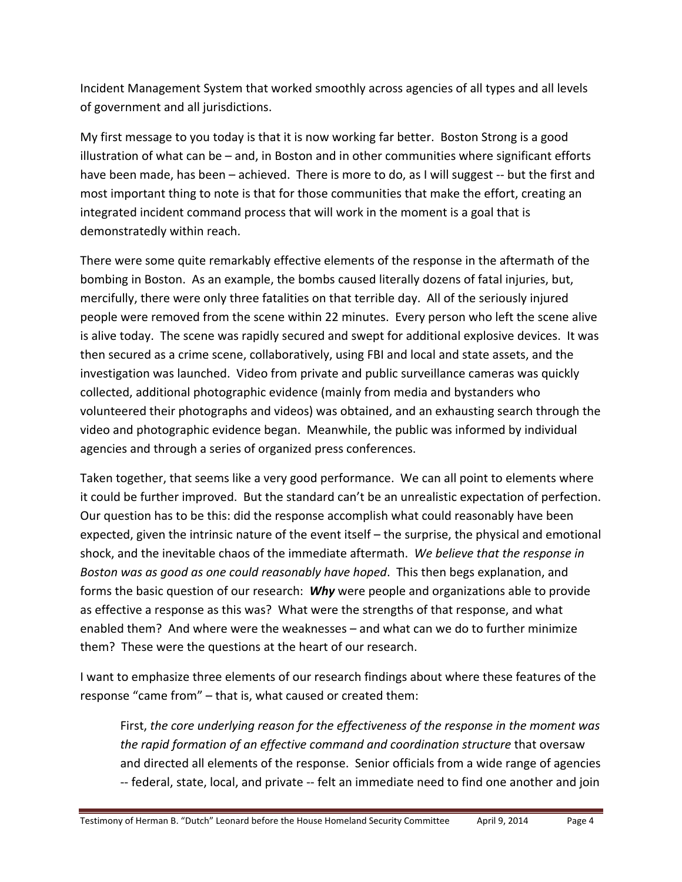Incident Management System that worked smoothly across agencies of all types and all levels of government and all jurisdictions.

My first message to you today is that it is now working far better. Boston Strong is a good illustration of what can be – and, in Boston and in other communities where significant efforts have been made, has been – achieved. There is more to do, as I will suggest -- but the first and most important thing to note is that for those communities that make the effort, creating an integrated incident command process that will work in the moment is a goal that is demonstratedly within reach.

There were some quite remarkably effective elements of the response in the aftermath of the bombing in Boston. As an example, the bombs caused literally dozens of fatal injuries, but, mercifully, there were only three fatalities on that terrible day. All of the seriously injured people were removed from the scene within 22 minutes. Every person who left the scene alive is alive today. The scene was rapidly secured and swept for additional explosive devices. It was then secured as a crime scene, collaboratively, using FBI and local and state assets, and the investigation was launched. Video from private and public surveillance cameras was quickly collected, additional photographic evidence (mainly from media and bystanders who volunteered their photographs and videos) was obtained, and an exhausting search through the video and photographic evidence began. Meanwhile, the public was informed by individual agencies and through a series of organized press conferences.

Taken together, that seems like a very good performance. We can all point to elements where it could be further improved. But the standard can't be an unrealistic expectation of perfection. Our question has to be this: did the response accomplish what could reasonably have been expected, given the intrinsic nature of the event itself – the surprise, the physical and emotional shock, and the inevitable chaos of the immediate aftermath. *We believe that the response in Boston was as good as one could reasonably have hoped*. This then begs explanation, and forms the basic question of our research: *Why* were people and organizations able to provide as effective a response as this was? What were the strengths of that response, and what enabled them? And where were the weaknesses – and what can we do to further minimize them? These were the questions at the heart of our research.

I want to emphasize three elements of our research findings about where these features of the response "came from" – that is, what caused or created them:

First, *the core underlying reason for the effectiveness of the response in the moment was the rapid formation of an effective command and coordination structure* that oversaw and directed all elements of the response. Senior officials from a wide range of agencies ‐‐ federal, state, local, and private ‐‐ felt an immediate need to find one another and join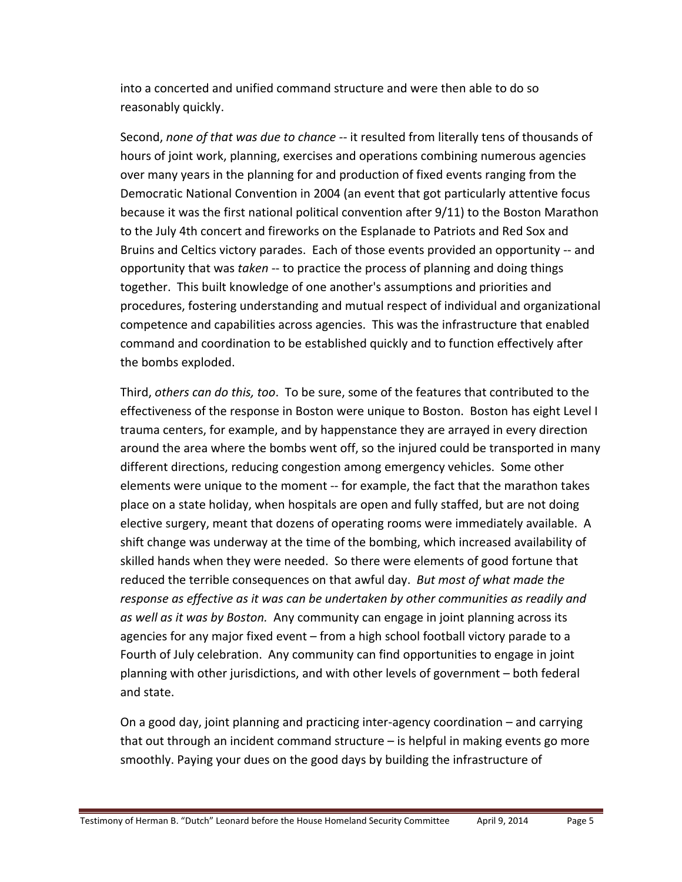into a concerted and unified command structure and were then able to do so reasonably quickly.

Second, *none of that was due to chance ‐‐* it resulted from literally tens of thousands of hours of joint work, planning, exercises and operations combining numerous agencies over many years in the planning for and production of fixed events ranging from the Democratic National Convention in 2004 (an event that got particularly attentive focus because it was the first national political convention after 9/11) to the Boston Marathon to the July 4th concert and fireworks on the Esplanade to Patriots and Red Sox and Bruins and Celtics victory parades. Each of those events provided an opportunity ‐‐ and opportunity that was *taken* ‐‐ to practice the process of planning and doing things together. This built knowledge of one another's assumptions and priorities and procedures, fostering understanding and mutual respect of individual and organizational competence and capabilities across agencies. This was the infrastructure that enabled command and coordination to be established quickly and to function effectively after the bombs exploded.

Third, *others can do this, too*. To be sure, some of the features that contributed to the effectiveness of the response in Boston were unique to Boston. Boston has eight Level I trauma centers, for example, and by happenstance they are arrayed in every direction around the area where the bombs went off, so the injured could be transported in many different directions, reducing congestion among emergency vehicles. Some other elements were unique to the moment ‐‐ for example, the fact that the marathon takes place on a state holiday, when hospitals are open and fully staffed, but are not doing elective surgery, meant that dozens of operating rooms were immediately available. A shift change was underway at the time of the bombing, which increased availability of skilled hands when they were needed. So there were elements of good fortune that reduced the terrible consequences on that awful day. *But most of what made the response as effective as it was can be undertaken by other communities as readily and as well as it was by Boston.* Any community can engage in joint planning across its agencies for any major fixed event – from a high school football victory parade to a Fourth of July celebration. Any community can find opportunities to engage in joint planning with other jurisdictions, and with other levels of government – both federal and state.

On a good day, joint planning and practicing inter‐agency coordination – and carrying that out through an incident command structure – is helpful in making events go more smoothly. Paying your dues on the good days by building the infrastructure of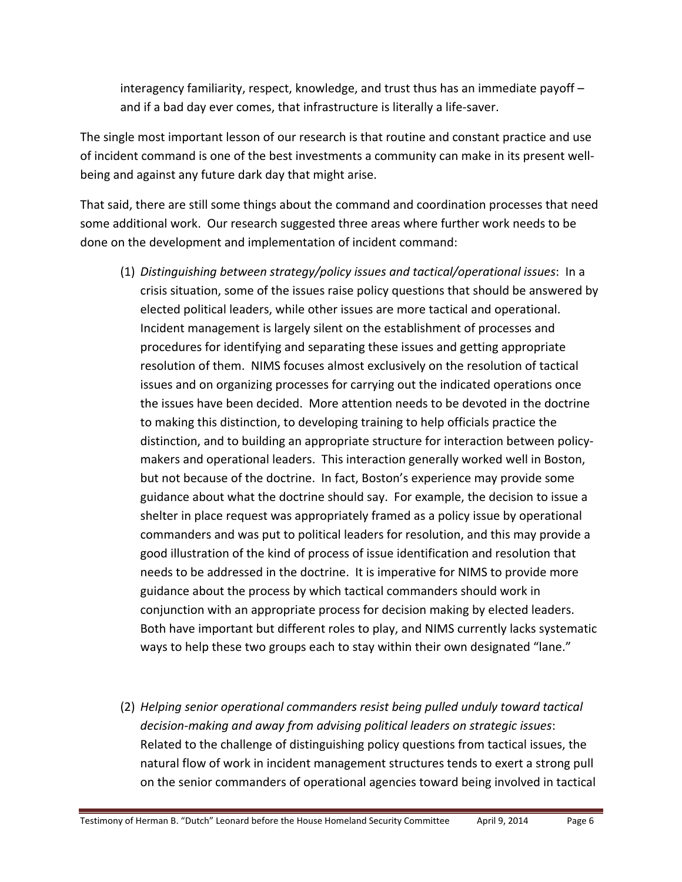interagency familiarity, respect, knowledge, and trust thus has an immediate payoff – and if a bad day ever comes, that infrastructure is literally a life‐saver.

The single most important lesson of our research is that routine and constant practice and use of incident command is one of the best investments a community can make in its present well‐ being and against any future dark day that might arise.

That said, there are still some things about the command and coordination processes that need some additional work. Our research suggested three areas where further work needs to be done on the development and implementation of incident command:

- (1) *Distinguishing between strategy/policy issues and tactical/operational issues*: In a crisis situation, some of the issues raise policy questions that should be answered by elected political leaders, while other issues are more tactical and operational. Incident management is largely silent on the establishment of processes and procedures for identifying and separating these issues and getting appropriate resolution of them. NIMS focuses almost exclusively on the resolution of tactical issues and on organizing processes for carrying out the indicated operations once the issues have been decided. More attention needs to be devoted in the doctrine to making this distinction, to developing training to help officials practice the distinction, and to building an appropriate structure for interaction between policy‐ makers and operational leaders. This interaction generally worked well in Boston, but not because of the doctrine. In fact, Boston's experience may provide some guidance about what the doctrine should say. For example, the decision to issue a shelter in place request was appropriately framed as a policy issue by operational commanders and was put to political leaders for resolution, and this may provide a good illustration of the kind of process of issue identification and resolution that needs to be addressed in the doctrine. It is imperative for NIMS to provide more guidance about the process by which tactical commanders should work in conjunction with an appropriate process for decision making by elected leaders. Both have important but different roles to play, and NIMS currently lacks systematic ways to help these two groups each to stay within their own designated "lane."
- (2) *Helping senior operational commanders resist being pulled unduly toward tactical decision‐making and away from advising political leaders on strategic issues*: Related to the challenge of distinguishing policy questions from tactical issues, the natural flow of work in incident management structures tends to exert a strong pull on the senior commanders of operational agencies toward being involved in tactical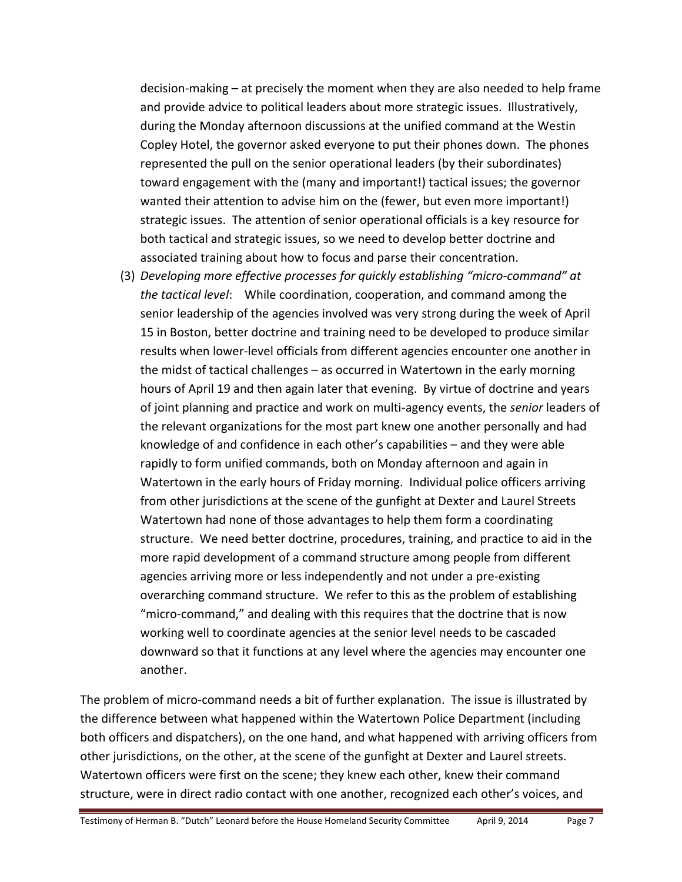decision‐making – at precisely the moment when they are also needed to help frame and provide advice to political leaders about more strategic issues. Illustratively, during the Monday afternoon discussions at the unified command at the Westin Copley Hotel, the governor asked everyone to put their phones down. The phones represented the pull on the senior operational leaders (by their subordinates) toward engagement with the (many and important!) tactical issues; the governor wanted their attention to advise him on the (fewer, but even more important!) strategic issues. The attention of senior operational officials is a key resource for both tactical and strategic issues, so we need to develop better doctrine and associated training about how to focus and parse their concentration.

(3) *Developing more effective processes for quickly establishing "micro‐command" at the tactical level*: While coordination, cooperation, and command among the senior leadership of the agencies involved was very strong during the week of April 15 in Boston, better doctrine and training need to be developed to produce similar results when lower‐level officials from different agencies encounter one another in the midst of tactical challenges – as occurred in Watertown in the early morning hours of April 19 and then again later that evening. By virtue of doctrine and years of joint planning and practice and work on multi‐agency events, the *senior* leaders of the relevant organizations for the most part knew one another personally and had knowledge of and confidence in each other's capabilities – and they were able rapidly to form unified commands, both on Monday afternoon and again in Watertown in the early hours of Friday morning. Individual police officers arriving from other jurisdictions at the scene of the gunfight at Dexter and Laurel Streets Watertown had none of those advantages to help them form a coordinating structure. We need better doctrine, procedures, training, and practice to aid in the more rapid development of a command structure among people from different agencies arriving more or less independently and not under a pre‐existing overarching command structure. We refer to this as the problem of establishing "micro‐command," and dealing with this requires that the doctrine that is now working well to coordinate agencies at the senior level needs to be cascaded downward so that it functions at any level where the agencies may encounter one another.

The problem of micro-command needs a bit of further explanation. The issue is illustrated by the difference between what happened within the Watertown Police Department (including both officers and dispatchers), on the one hand, and what happened with arriving officers from other jurisdictions, on the other, at the scene of the gunfight at Dexter and Laurel streets. Watertown officers were first on the scene; they knew each other, knew their command structure, were in direct radio contact with one another, recognized each other's voices, and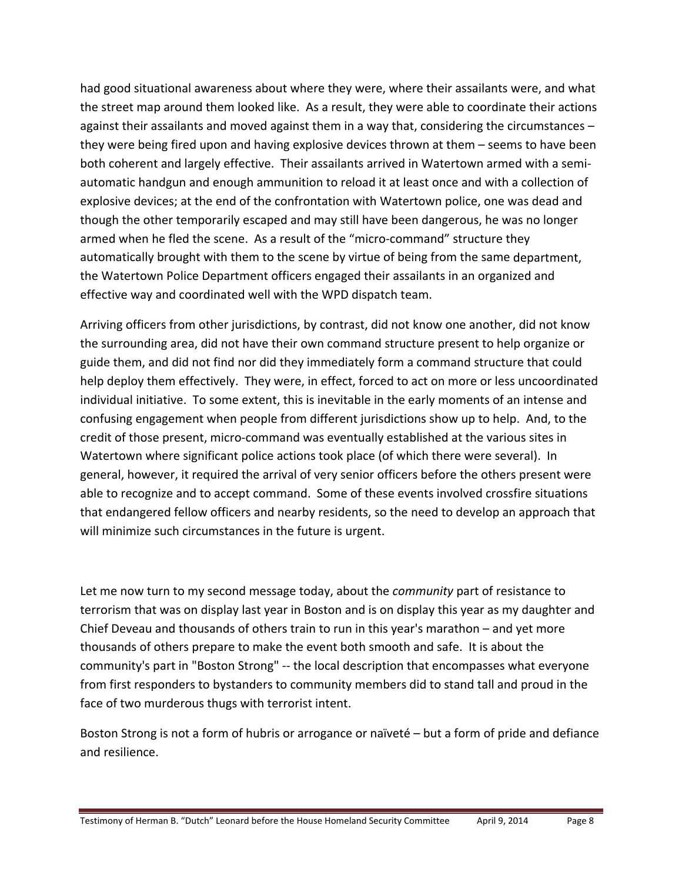had good situational awareness about where they were, where their assailants were, and what the street map around them looked like. As a result, they were able to coordinate their actions against their assailants and moved against them in a way that, considering the circumstances – they were being fired upon and having explosive devices thrown at them – seems to have been both coherent and largely effective. Their assailants arrived in Watertown armed with a semiautomatic handgun and enough ammunition to reload it at least once and with a collection of explosive devices; at the end of the confrontation with Watertown police, one was dead and though the other temporarily escaped and may still have been dangerous, he was no longer armed when he fled the scene. As a result of the "micro-command" structure they automatically brought with them to the scene by virtue of being from the same department, the Watertown Police Department officers engaged their assailants in an organized and effective way and coordinated well with the WPD dispatch team.

Arriving officers from other jurisdictions, by contrast, did not know one another, did not know the surrounding area, did not have their own command structure present to help organize or guide them, and did not find nor did they immediately form a command structure that could help deploy them effectively. They were, in effect, forced to act on more or less uncoordinated individual initiative. To some extent, this is inevitable in the early moments of an intense and confusing engagement when people from different jurisdictions show up to help. And, to the credit of those present, micro‐command was eventually established at the various sites in Watertown where significant police actions took place (of which there were several). In general, however, it required the arrival of very senior officers before the others present were able to recognize and to accept command. Some of these events involved crossfire situations that endangered fellow officers and nearby residents, so the need to develop an approach that will minimize such circumstances in the future is urgent.

Let me now turn to my second message today, about the *community* part of resistance to terrorism that was on display last year in Boston and is on display this year as my daughter and Chief Deveau and thousands of others train to run in this year's marathon – and yet more thousands of others prepare to make the event both smooth and safe. It is about the community's part in "Boston Strong" ‐‐ the local description that encompasses what everyone from first responders to bystanders to community members did to stand tall and proud in the face of two murderous thugs with terrorist intent.

Boston Strong is not a form of hubris or arrogance or naïveté – but a form of pride and defiance and resilience.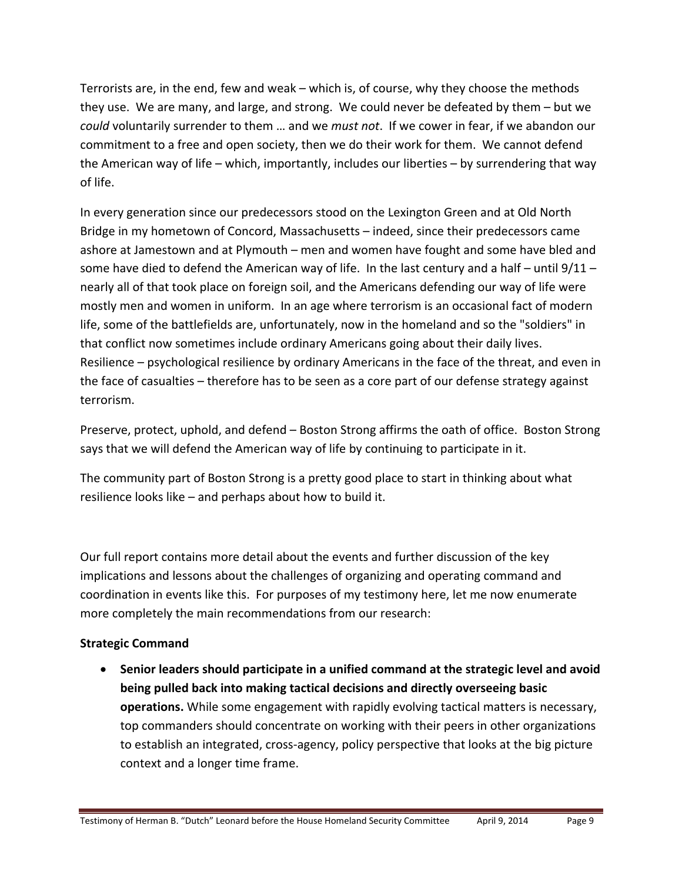Terrorists are, in the end, few and weak – which is, of course, why they choose the methods they use. We are many, and large, and strong. We could never be defeated by them – but we *could* voluntarily surrender to them … and we *must not*. If we cower in fear, if we abandon our commitment to a free and open society, then we do their work for them. We cannot defend the American way of life – which, importantly, includes our liberties – by surrendering that way of life.

In every generation since our predecessors stood on the Lexington Green and at Old North Bridge in my hometown of Concord, Massachusetts – indeed, since their predecessors came ashore at Jamestown and at Plymouth – men and women have fought and some have bled and some have died to defend the American way of life. In the last century and a half – until 9/11 – nearly all of that took place on foreign soil, and the Americans defending our way of life were mostly men and women in uniform. In an age where terrorism is an occasional fact of modern life, some of the battlefields are, unfortunately, now in the homeland and so the "soldiers" in that conflict now sometimes include ordinary Americans going about their daily lives. Resilience – psychological resilience by ordinary Americans in the face of the threat, and even in the face of casualties – therefore has to be seen as a core part of our defense strategy against terrorism.

Preserve, protect, uphold, and defend – Boston Strong affirms the oath of office. Boston Strong says that we will defend the American way of life by continuing to participate in it.

The community part of Boston Strong is a pretty good place to start in thinking about what resilience looks like – and perhaps about how to build it.

Our full report contains more detail about the events and further discussion of the key implications and lessons about the challenges of organizing and operating command and coordination in events like this. For purposes of my testimony here, let me now enumerate more completely the main recommendations from our research:

### **Strategic Command**

 **Senior leaders should participate in a unified command at the strategic level and avoid being pulled back into making tactical decisions and directly overseeing basic operations.** While some engagement with rapidly evolving tactical matters is necessary, top commanders should concentrate on working with their peers in other organizations to establish an integrated, cross-agency, policy perspective that looks at the big picture context and a longer time frame.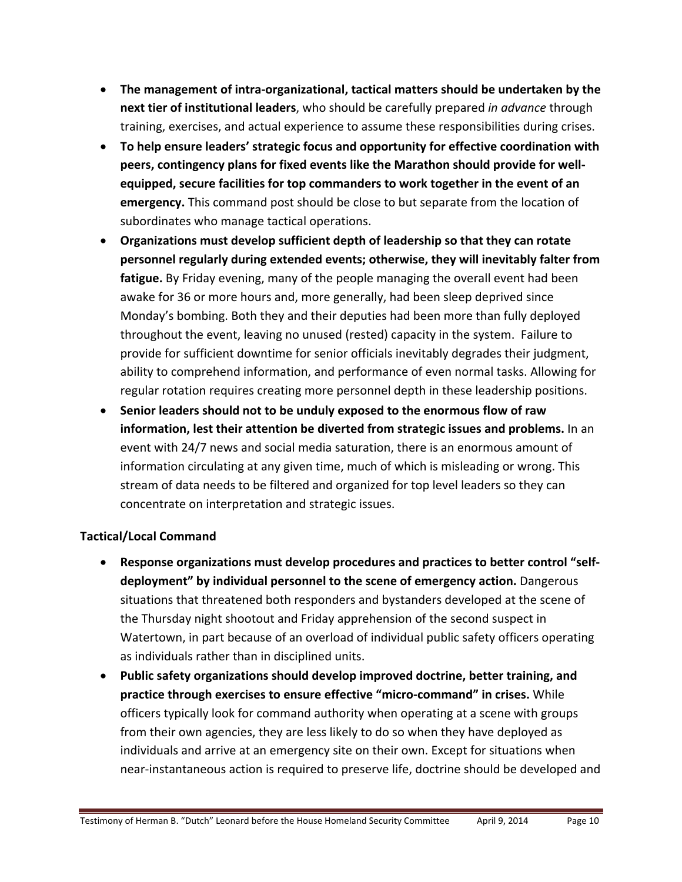- **The management of intra‐organizational, tactical matters should be undertaken by the next tier of institutional leaders**, who should be carefully prepared *in advance* through training, exercises, and actual experience to assume these responsibilities during crises.
- **To help ensure leaders' strategic focus and opportunity for effective coordination with peers, contingency plans for fixed events like the Marathon should provide for well‐ equipped, secure facilities for top commanders to work together in the event of an emergency.** This command post should be close to but separate from the location of subordinates who manage tactical operations.
- **Organizations must develop sufficient depth of leadership so that they can rotate personnel regularly during extended events; otherwise, they will inevitably falter from fatigue.** By Friday evening, many of the people managing the overall event had been awake for 36 or more hours and, more generally, had been sleep deprived since Monday's bombing. Both they and their deputies had been more than fully deployed throughout the event, leaving no unused (rested) capacity in the system. Failure to provide for sufficient downtime for senior officials inevitably degrades their judgment, ability to comprehend information, and performance of even normal tasks. Allowing for regular rotation requires creating more personnel depth in these leadership positions.
- **Senior leaders should not to be unduly exposed to the enormous flow of raw information, lest their attention be diverted from strategic issues and problems.** In an event with 24/7 news and social media saturation, there is an enormous amount of information circulating at any given time, much of which is misleading or wrong. This stream of data needs to be filtered and organized for top level leaders so they can concentrate on interpretation and strategic issues.

### **Tactical/Local Command**

- **Response organizations must develop procedures and practices to better control "self‐ deployment" by individual personnel to the scene of emergency action.** Dangerous situations that threatened both responders and bystanders developed at the scene of the Thursday night shootout and Friday apprehension of the second suspect in Watertown, in part because of an overload of individual public safety officers operating as individuals rather than in disciplined units.
- **Public safety organizations should develop improved doctrine, better training, and practice through exercises to ensure effective "micro‐command" in crises.** While officers typically look for command authority when operating at a scene with groups from their own agencies, they are less likely to do so when they have deployed as individuals and arrive at an emergency site on their own. Except for situations when near‐instantaneous action is required to preserve life, doctrine should be developed and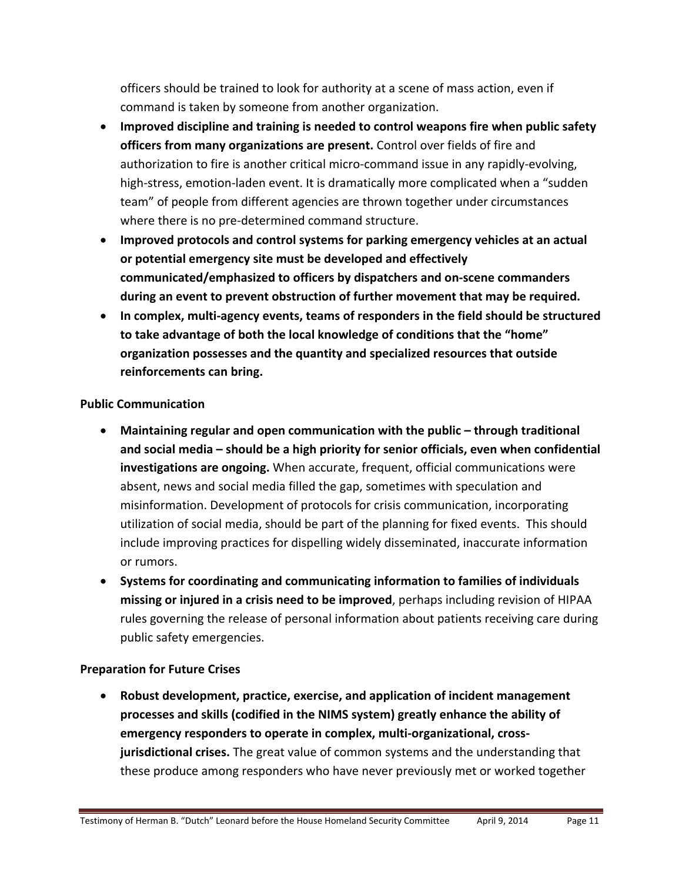officers should be trained to look for authority at a scene of mass action, even if command is taken by someone from another organization.

- **Improved discipline and training is needed to control weapons fire when public safety officers from many organizations are present.** Control over fields of fire and authorization to fire is another critical micro-command issue in any rapidly-evolving, high-stress, emotion-laden event. It is dramatically more complicated when a "sudden team" of people from different agencies are thrown together under circumstances where there is no pre‐determined command structure.
- **Improved protocols and control systems for parking emergency vehicles at an actual or potential emergency site must be developed and effectively communicated/emphasized to officers by dispatchers and on‐scene commanders during an event to prevent obstruction of further movement that may be required.**
- **In complex, multi‐agency events, teams of responders in the field should be structured to take advantage of both the local knowledge of conditions that the "home" organization possesses and the quantity and specialized resources that outside reinforcements can bring.**

### **Public Communication**

- **Maintaining regular and open communication with the public – through traditional and social media – should be a high priority for senior officials, even when confidential investigations are ongoing.** When accurate, frequent, official communications were absent, news and social media filled the gap, sometimes with speculation and misinformation. Development of protocols for crisis communication, incorporating utilization of social media, should be part of the planning for fixed events. This should include improving practices for dispelling widely disseminated, inaccurate information or rumors.
- **Systems for coordinating and communicating information to families of individuals missing or injured in a crisis need to be improved**, perhaps including revision of HIPAA rules governing the release of personal information about patients receiving care during public safety emergencies.

### **Preparation for Future Crises**

 **Robust development, practice, exercise, and application of incident management processes and skills (codified in the NIMS system) greatly enhance the ability of emergency responders to operate in complex, multi‐organizational, cross‐ jurisdictional crises.** The great value of common systems and the understanding that these produce among responders who have never previously met or worked together